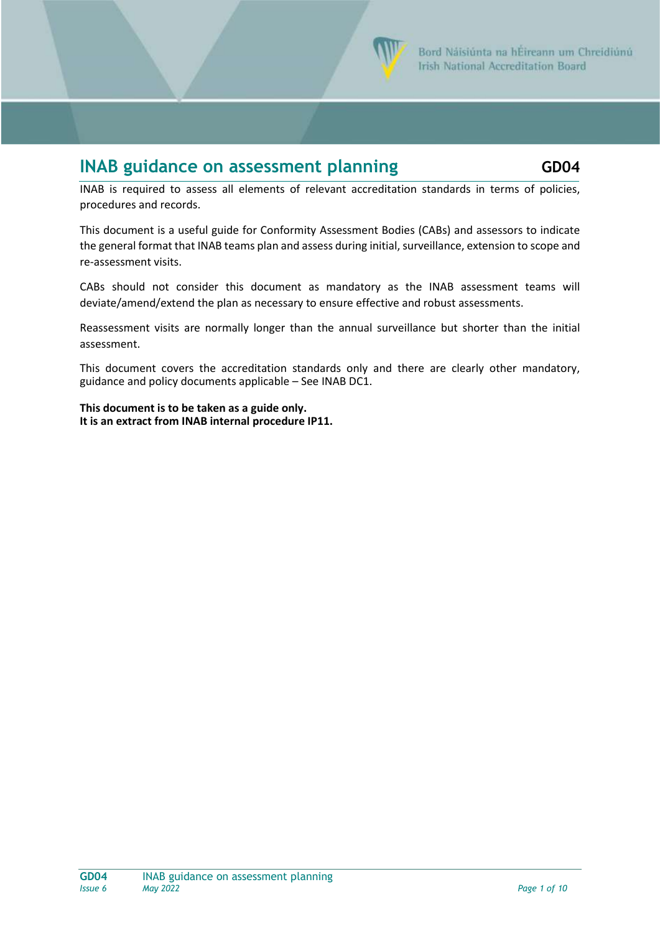

## **INAB guidance on assessment planning**  $\qquad$  **GD04**

INAB is required to assess all elements of relevant accreditation standards in terms of policies, procedures and records.

This document is a useful guide for Conformity Assessment Bodies (CABs) and assessors to indicate the general format that INAB teams plan and assess during initial, surveillance, extension to scope and re-assessment visits.

CABs should not consider this document as mandatory as the INAB assessment teams will deviate/amend/extend the plan as necessary to ensure effective and robust assessments.

Reassessment visits are normally longer than the annual surveillance but shorter than the initial assessment.

This document covers the accreditation standards only and there are clearly other mandatory, guidance and policy documents applicable – See INAB DC1.

**This document is to be taken as a guide only. It is an extract from INAB internal procedure IP11.**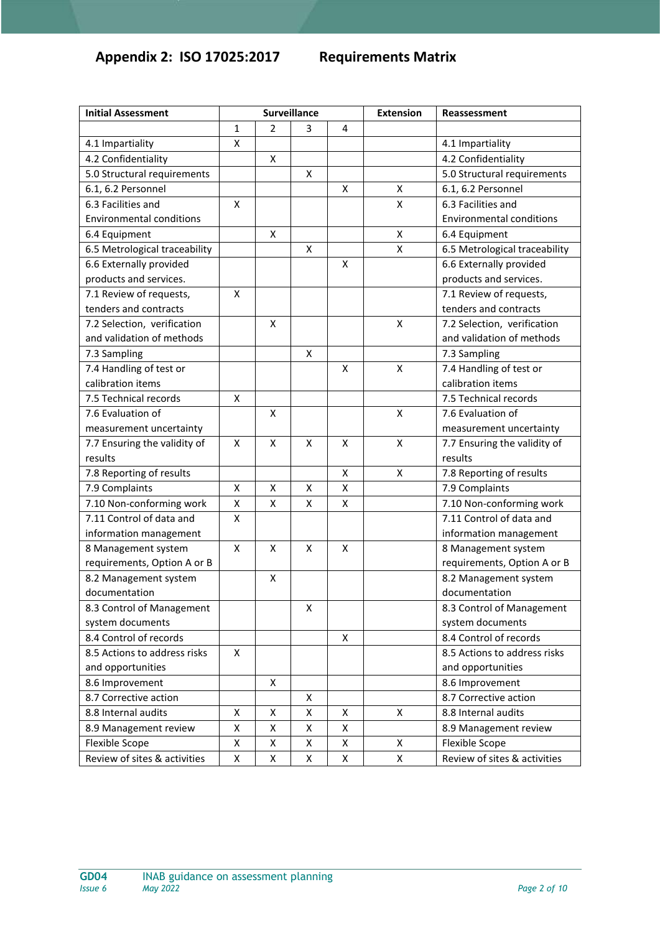## **Appendix 2: ISO 17025:2017 Requirements Matrix**

| <b>Initial Assessment</b>       | <b>Surveillance</b> |   |   |                    | <b>Extension</b> | Reassessment                    |
|---------------------------------|---------------------|---|---|--------------------|------------------|---------------------------------|
|                                 | 1                   | 2 | 3 | $\overline{4}$     |                  |                                 |
| 4.1 Impartiality                | Χ                   |   |   |                    |                  | 4.1 Impartiality                |
| 4.2 Confidentiality             |                     | X |   |                    |                  | 4.2 Confidentiality             |
| 5.0 Structural requirements     |                     |   | Χ |                    |                  | 5.0 Structural requirements     |
| 6.1, 6.2 Personnel              |                     |   |   | X                  | X                | 6.1, 6.2 Personnel              |
| 6.3 Facilities and              | X                   |   |   |                    | X                | 6.3 Facilities and              |
| <b>Environmental conditions</b> |                     |   |   |                    |                  | <b>Environmental conditions</b> |
| 6.4 Equipment                   |                     | X |   |                    | X                | 6.4 Equipment                   |
| 6.5 Metrological traceability   |                     |   | x |                    | X                | 6.5 Metrological traceability   |
| 6.6 Externally provided         |                     |   |   | $\mathsf{\chi}$    |                  | 6.6 Externally provided         |
| products and services.          |                     |   |   |                    |                  | products and services.          |
| 7.1 Review of requests,         | X                   |   |   |                    |                  | 7.1 Review of requests,         |
| tenders and contracts           |                     |   |   |                    |                  | tenders and contracts           |
| 7.2 Selection, verification     |                     | X |   |                    | X                | 7.2 Selection, verification     |
| and validation of methods       |                     |   |   |                    |                  | and validation of methods       |
| 7.3 Sampling                    |                     |   | X |                    |                  | 7.3 Sampling                    |
| 7.4 Handling of test or         |                     |   |   | X                  | X                | 7.4 Handling of test or         |
| calibration items               |                     |   |   |                    |                  | calibration items               |
| 7.5 Technical records           | X                   |   |   |                    |                  | 7.5 Technical records           |
| 7.6 Evaluation of               |                     | X |   |                    | X                | 7.6 Evaluation of               |
| measurement uncertainty         |                     |   |   |                    |                  | measurement uncertainty         |
| 7.7 Ensuring the validity of    | X                   | X | X | X                  | X                | 7.7 Ensuring the validity of    |
| results                         |                     |   |   |                    |                  | results                         |
| 7.8 Reporting of results        |                     |   |   | $\pmb{\mathsf{X}}$ | X                | 7.8 Reporting of results        |
| 7.9 Complaints                  | Χ                   | X | X | X                  |                  | 7.9 Complaints                  |
| 7.10 Non-conforming work        | Χ                   | X | X | $\pmb{\mathsf{X}}$ |                  | 7.10 Non-conforming work        |
| 7.11 Control of data and        | Χ                   |   |   |                    |                  | 7.11 Control of data and        |
| information management          |                     |   |   |                    |                  | information management          |
| 8 Management system             | X                   | x | x | X                  |                  | 8 Management system             |
| requirements, Option A or B     |                     |   |   |                    |                  | requirements, Option A or B     |
| 8.2 Management system           |                     | X |   |                    |                  | 8.2 Management system           |
| documentation                   |                     |   |   |                    |                  | documentation                   |
| 8.3 Control of Management       |                     |   | x |                    |                  | 8.3 Control of Management       |
| system documents                |                     |   |   |                    |                  | system documents                |
| 8.4 Control of records          |                     |   |   | X                  |                  | 8.4 Control of records          |
| 8.5 Actions to address risks    | X                   |   |   |                    |                  | 8.5 Actions to address risks    |
| and opportunities               |                     |   |   |                    |                  | and opportunities               |
| 8.6 Improvement                 |                     | X |   |                    |                  | 8.6 Improvement                 |
| 8.7 Corrective action           |                     |   | X |                    |                  | 8.7 Corrective action           |
| 8.8 Internal audits             | Χ                   | X | X | x                  | X                | 8.8 Internal audits             |
| 8.9 Management review           | Χ                   | X | Χ | $\pmb{\mathsf{X}}$ |                  | 8.9 Management review           |
| <b>Flexible Scope</b>           | Χ                   | Χ | X | Χ                  | X                | Flexible Scope                  |
| Review of sites & activities    | Χ                   | Χ | Χ | $\pmb{\mathsf{X}}$ | Χ                | Review of sites & activities    |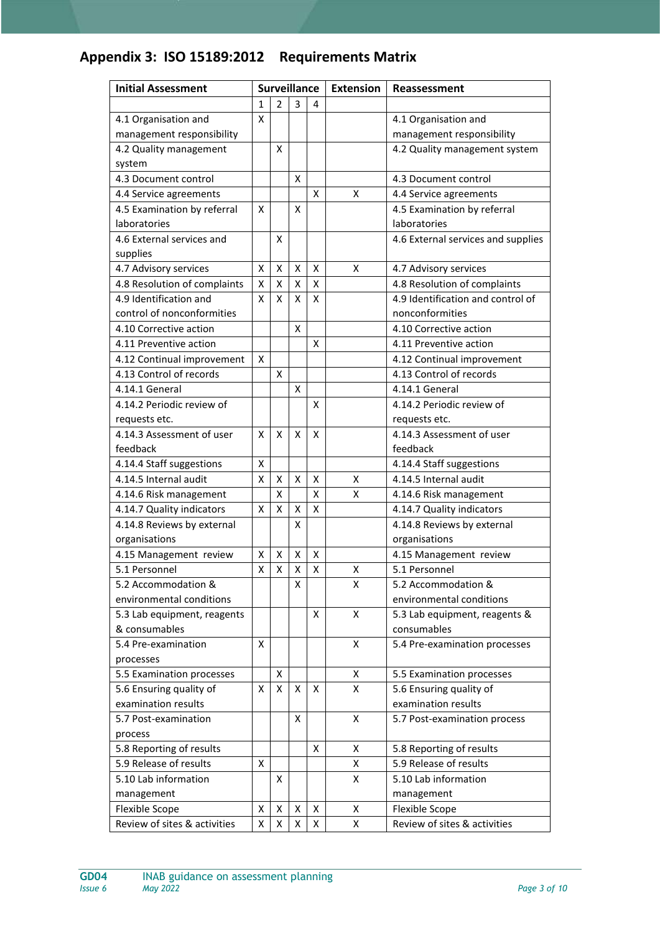## **Appendix 3: ISO 15189:2012 Requirements Matrix**

| <b>Initial Assessment</b>    | <b>Surveillance</b> |                    |   | <b>Extension</b>   | Reassessment |                                    |
|------------------------------|---------------------|--------------------|---|--------------------|--------------|------------------------------------|
|                              | $\mathbf{1}$        | $\overline{2}$     | 3 | 4                  |              |                                    |
| 4.1 Organisation and         | X                   |                    |   |                    |              | 4.1 Organisation and               |
| management responsibility    |                     |                    |   |                    |              | management responsibility          |
| 4.2 Quality management       |                     | X                  |   |                    |              | 4.2 Quality management system      |
| system                       |                     |                    |   |                    |              |                                    |
| 4.3 Document control         |                     |                    | X |                    |              | 4.3 Document control               |
| 4.4 Service agreements       |                     |                    |   | X                  | X            | 4.4 Service agreements             |
| 4.5 Examination by referral  | X                   |                    | X |                    |              | 4.5 Examination by referral        |
| laboratories                 |                     |                    |   |                    |              | laboratories                       |
| 4.6 External services and    |                     | x                  |   |                    |              | 4.6 External services and supplies |
| supplies                     |                     |                    |   |                    |              |                                    |
| 4.7 Advisory services        | X                   | X                  | X | X                  | X            | 4.7 Advisory services              |
| 4.8 Resolution of complaints | X                   | X                  | X | $\pmb{\mathsf{X}}$ |              | 4.8 Resolution of complaints       |
| 4.9 Identification and       | x                   | x                  | Χ | X                  |              | 4.9 Identification and control of  |
| control of nonconformities   |                     |                    |   |                    |              | nonconformities                    |
| 4.10 Corrective action       |                     |                    | X |                    |              | 4.10 Corrective action             |
| 4.11 Preventive action       |                     |                    |   | X                  |              | 4.11 Preventive action             |
| 4.12 Continual improvement   | X                   |                    |   |                    |              | 4.12 Continual improvement         |
| 4.13 Control of records      |                     | X                  |   |                    |              | 4.13 Control of records            |
| 4.14.1 General               |                     |                    | Χ |                    |              | 4.14.1 General                     |
| 4.14.2 Periodic review of    |                     |                    |   | x                  |              | 4.14.2 Periodic review of          |
| requests etc.                |                     |                    |   |                    |              | requests etc.                      |
| 4.14.3 Assessment of user    | x                   | X                  | X | x                  |              | 4.14.3 Assessment of user          |
| feedback                     |                     |                    |   |                    |              | feedback                           |
| 4.14.4 Staff suggestions     | X                   |                    |   |                    |              | 4.14.4 Staff suggestions           |
| 4.14.5 Internal audit        | X                   | X                  | Χ | X                  | x            | 4.14.5 Internal audit              |
| 4.14.6 Risk management       |                     | x                  |   | x                  | x            | 4.14.6 Risk management             |
| 4.14.7 Quality indicators    | Χ                   | X                  | X | X                  |              | 4.14.7 Quality indicators          |
| 4.14.8 Reviews by external   |                     |                    | X |                    |              | 4.14.8 Reviews by external         |
| organisations                |                     |                    |   |                    |              | organisations                      |
| 4.15 Management review       | x                   | Χ                  | х | X                  |              | 4.15 Management review             |
| 5.1 Personnel                | X                   | $\pmb{\mathsf{X}}$ | X | Χ                  | X            | 5.1 Personnel                      |
| 5.2 Accommodation &          |                     |                    | х |                    | X            | 5.2 Accommodation &                |
| environmental conditions     |                     |                    |   |                    |              | environmental conditions           |
| 5.3 Lab equipment, reagents  |                     |                    |   | x                  | X            | 5.3 Lab equipment, reagents &      |
| & consumables                |                     |                    |   |                    |              | consumables                        |
| 5.4 Pre-examination          | X                   |                    |   |                    | Χ            | 5.4 Pre-examination processes      |
| processes                    |                     |                    |   |                    |              |                                    |
| 5.5 Examination processes    |                     | X                  |   |                    | X            | 5.5 Examination processes          |
| 5.6 Ensuring quality of      | X                   | X                  | Χ | X                  | Χ            | 5.6 Ensuring quality of            |
| examination results          |                     |                    |   |                    |              | examination results                |
| 5.7 Post-examination         |                     |                    | Χ |                    | X            | 5.7 Post-examination process       |
| process                      |                     |                    |   |                    |              |                                    |
| 5.8 Reporting of results     |                     |                    |   | X                  | Χ            | 5.8 Reporting of results           |
| 5.9 Release of results       | X                   |                    |   |                    | Χ            | 5.9 Release of results             |
| 5.10 Lab information         |                     | X                  |   |                    | Χ            | 5.10 Lab information               |
| management                   |                     |                    |   |                    |              | management                         |
| Flexible Scope               | X                   | X                  | Χ | Χ                  | Χ            | Flexible Scope                     |
| Review of sites & activities | X                   | X                  | Χ | X                  | Χ            | Review of sites & activities       |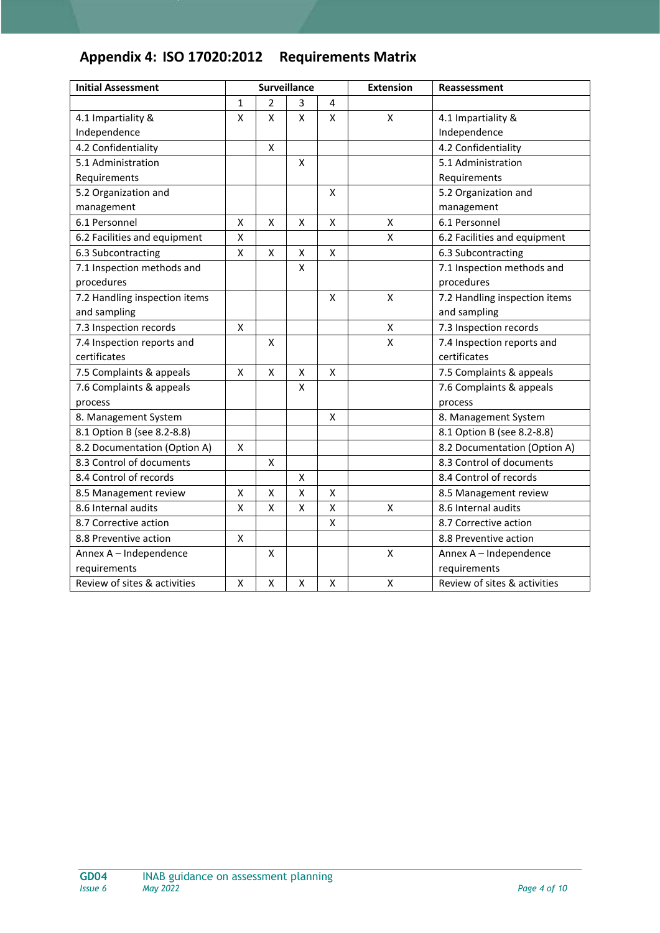## **Appendix 4: ISO 17020:2012 Requirements Matrix**

| <b>Initial Assessment</b>     |             |   | <b>Surveillance</b>     |                           | <b>Extension</b> | Reassessment                  |
|-------------------------------|-------------|---|-------------------------|---------------------------|------------------|-------------------------------|
|                               | $\mathbf 1$ | 2 | 3                       | 4                         |                  |                               |
| 4.1 Impartiality &            | x           | Χ | $\mathsf{\overline{X}}$ | X                         | X                | 4.1 Impartiality &            |
| Independence                  |             |   |                         |                           |                  | Independence                  |
| 4.2 Confidentiality           |             | X |                         |                           |                  | 4.2 Confidentiality           |
| 5.1 Administration            |             |   | X                       |                           |                  | 5.1 Administration            |
| Requirements                  |             |   |                         |                           |                  | Requirements                  |
| 5.2 Organization and          |             |   |                         | X                         |                  | 5.2 Organization and          |
| management                    |             |   |                         |                           |                  | management                    |
| 6.1 Personnel                 | X           | Χ | X                       | $\pmb{\mathsf{X}}$        | Χ                | 6.1 Personnel                 |
| 6.2 Facilities and equipment  | X           |   |                         |                           | Χ                | 6.2 Facilities and equipment  |
| 6.3 Subcontracting            | X           | X | X                       | X                         |                  | 6.3 Subcontracting            |
| 7.1 Inspection methods and    |             |   | X                       |                           |                  | 7.1 Inspection methods and    |
| procedures                    |             |   |                         |                           |                  | procedures                    |
| 7.2 Handling inspection items |             |   |                         | $\pmb{\mathsf{X}}$        | Χ                | 7.2 Handling inspection items |
| and sampling                  |             |   |                         |                           |                  | and sampling                  |
| 7.3 Inspection records        | X           |   |                         |                           | X                | 7.3 Inspection records        |
| 7.4 Inspection reports and    |             | X |                         |                           | X                | 7.4 Inspection reports and    |
| certificates                  |             |   |                         |                           |                  | certificates                  |
| 7.5 Complaints & appeals      | X           | X | X                       | $\boldsymbol{\mathsf{X}}$ |                  | 7.5 Complaints & appeals      |
| 7.6 Complaints & appeals      |             |   | X                       |                           |                  | 7.6 Complaints & appeals      |
| process                       |             |   |                         |                           |                  | process                       |
| 8. Management System          |             |   |                         | X                         |                  | 8. Management System          |
| 8.1 Option B (see 8.2-8.8)    |             |   |                         |                           |                  | 8.1 Option B (see 8.2-8.8)    |
| 8.2 Documentation (Option A)  | Χ           |   |                         |                           |                  | 8.2 Documentation (Option A)  |
| 8.3 Control of documents      |             | Χ |                         |                           |                  | 8.3 Control of documents      |
| 8.4 Control of records        |             |   | X                       |                           |                  | 8.4 Control of records        |
| 8.5 Management review         | X           | X | X                       | X                         |                  | 8.5 Management review         |
| 8.6 Internal audits           | x           | x | X                       | X                         | X                | 8.6 Internal audits           |
| 8.7 Corrective action         |             |   |                         | Χ                         |                  | 8.7 Corrective action         |
| 8.8 Preventive action         | X           |   |                         |                           |                  | 8.8 Preventive action         |
| Annex A - Independence        |             | X |                         |                           | Χ                | Annex A - Independence        |
| requirements                  |             |   |                         |                           |                  | requirements                  |
| Review of sites & activities  | X           | Χ | $\pmb{\mathsf{X}}$      | X                         | X                | Review of sites & activities  |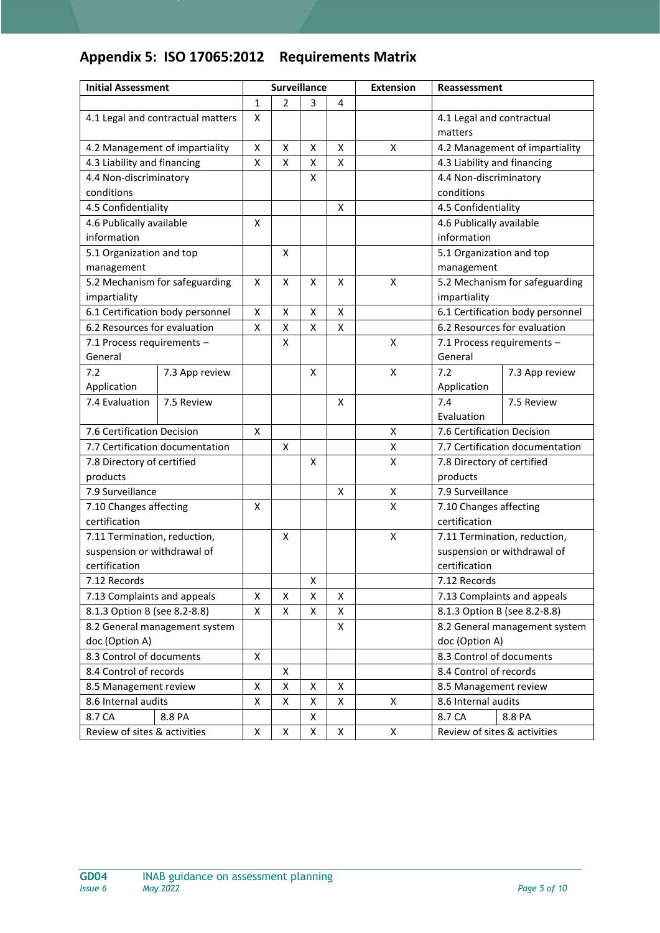## **Appendix 5: ISO 17065:2012 Requirements Matrix**

| <b>Initial Assessment</b>                  |                                   | <b>Surveillance</b> |                | <b>Extension</b> | Reassessment |                    |                                                               |                                  |
|--------------------------------------------|-----------------------------------|---------------------|----------------|------------------|--------------|--------------------|---------------------------------------------------------------|----------------------------------|
|                                            |                                   | $\mathbf{1}$        | $\overline{2}$ | 3                | 4            |                    |                                                               |                                  |
|                                            | 4.1 Legal and contractual matters | X                   |                |                  |              |                    | 4.1 Legal and contractual                                     |                                  |
|                                            |                                   |                     |                |                  |              |                    | matters                                                       |                                  |
|                                            | 4.2 Management of impartiality    | Χ                   | Χ              | Χ                | Χ            | X                  |                                                               | 4.2 Management of impartiality   |
| 4.3 Liability and financing                |                                   | Χ                   | X              | Χ                | X            |                    | 4.3 Liability and financing                                   |                                  |
| 4.4 Non-discriminatory                     |                                   |                     |                | X                |              |                    | 4.4 Non-discriminatory                                        |                                  |
| conditions                                 |                                   |                     |                |                  |              |                    | conditions                                                    |                                  |
| 4.5 Confidentiality                        |                                   |                     |                |                  | X            |                    | 4.5 Confidentiality                                           |                                  |
| 4.6 Publically available                   |                                   | X                   |                |                  |              |                    | 4.6 Publically available                                      |                                  |
| information                                |                                   |                     |                |                  |              |                    | information                                                   |                                  |
| 5.1 Organization and top                   |                                   |                     | X              |                  |              |                    | 5.1 Organization and top                                      |                                  |
| management                                 |                                   |                     |                |                  |              |                    | management                                                    |                                  |
|                                            | 5.2 Mechanism for safeguarding    | X                   | X              | X                | X            | $\pmb{\mathsf{X}}$ |                                                               | 5.2 Mechanism for safeguarding   |
| impartiality                               |                                   |                     |                |                  |              |                    | impartiality                                                  |                                  |
|                                            | 6.1 Certification body personnel  | Χ                   | X              | X                | Χ            |                    |                                                               | 6.1 Certification body personnel |
| 6.2 Resources for evaluation               |                                   | X                   | X              | X                | X            |                    |                                                               | 6.2 Resources for evaluation     |
| 7.1 Process requirements -                 |                                   |                     | X              |                  |              | X                  | 7.1 Process requirements -                                    |                                  |
| General                                    |                                   |                     |                |                  |              |                    | General                                                       |                                  |
| 7.2                                        | 7.3 App review                    |                     |                | x                |              | $\pmb{\mathsf{X}}$ | 7.2                                                           | 7.3 App review                   |
| Application                                |                                   |                     |                |                  |              |                    | Application                                                   |                                  |
| 7.4 Evaluation                             | 7.5 Review                        |                     |                |                  | X            |                    | 7.4                                                           | 7.5 Review                       |
|                                            |                                   |                     |                |                  |              |                    | Evaluation                                                    |                                  |
| 7.6 Certification Decision                 | 7.7 Certification documentation   | Χ                   |                |                  |              | X                  | 7.6 Certification Decision<br>7.7 Certification documentation |                                  |
|                                            |                                   |                     | X              |                  |              | Χ                  |                                                               |                                  |
| 7.8 Directory of certified                 |                                   |                     |                | x                |              | X                  | 7.8 Directory of certified                                    |                                  |
| products                                   |                                   |                     |                |                  |              |                    | products<br>7.9 Surveillance                                  |                                  |
| 7.9 Surveillance<br>7.10 Changes affecting |                                   |                     |                |                  | X            | $\pmb{\mathsf{X}}$ | 7.10 Changes affecting                                        |                                  |
| certification                              |                                   | Χ                   |                |                  |              | X                  | certification                                                 |                                  |
| 7.11 Termination, reduction,               |                                   |                     | X              |                  |              | X                  |                                                               | 7.11 Termination, reduction,     |
| suspension or withdrawal of                |                                   |                     |                |                  |              |                    |                                                               | suspension or withdrawal of      |
| certification                              |                                   |                     |                |                  |              |                    | certification                                                 |                                  |
| 7.12 Records                               |                                   |                     |                | X                |              |                    | 7.12 Records                                                  |                                  |
| 7.13 Complaints and appeals                |                                   | Χ                   | Χ              | Χ                | X            |                    |                                                               | 7.13 Complaints and appeals      |
| 8.1.3 Option B (see 8.2-8.8)               |                                   | X                   | X              | X                | X            |                    |                                                               | 8.1.3 Option B (see 8.2-8.8)     |
|                                            | 8.2 General management system     |                     |                |                  | X            |                    | 8.2 General management system                                 |                                  |
| doc (Option A)                             |                                   |                     |                |                  |              |                    | doc (Option A)                                                |                                  |
| 8.3 Control of documents                   |                                   | Χ                   |                |                  |              |                    | 8.3 Control of documents                                      |                                  |
| 8.4 Control of records                     |                                   |                     | Χ              |                  |              |                    | 8.4 Control of records                                        |                                  |
| 8.5 Management review                      |                                   | Χ                   | X              | X                | X            |                    | 8.5 Management review                                         |                                  |
| 8.6 Internal audits                        |                                   | X                   | X              | Χ                | X            | X                  | 8.6 Internal audits                                           |                                  |
| 8.7 CA                                     | 8.8 PA                            |                     |                | Χ                |              |                    | 8.7 CA                                                        | 8.8 PA                           |
| Review of sites & activities               |                                   | Χ                   | X              | X                | X            | X                  | Review of sites & activities                                  |                                  |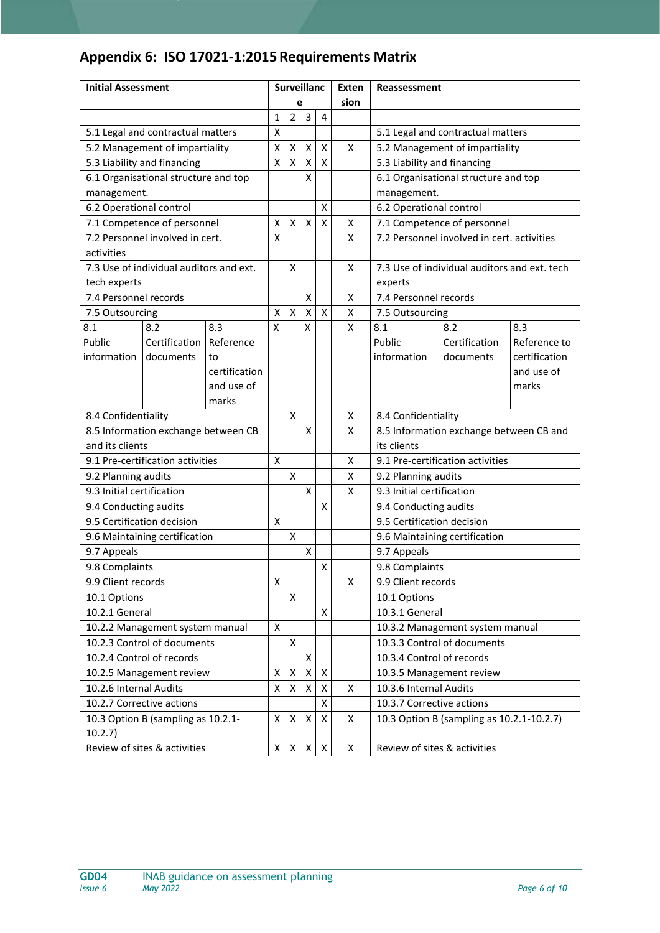# **Appendix 6: ISO 17021-1:2015 Requirements Matrix**

| <b>Initial Assessment</b>         |                                         | <b>Surveillanc</b> |                    |                         |                    | Exten              | Reassessment                      |                              |                                              |               |
|-----------------------------------|-----------------------------------------|--------------------|--------------------|-------------------------|--------------------|--------------------|-----------------------------------|------------------------------|----------------------------------------------|---------------|
|                                   |                                         |                    | e                  |                         |                    | sion               |                                   |                              |                                              |               |
|                                   |                                         |                    | 1                  | $\overline{2}$          | 3                  | $\overline{4}$     |                                   |                              |                                              |               |
| 5.1 Legal and contractual matters |                                         | X                  |                    |                         |                    |                    | 5.1 Legal and contractual matters |                              |                                              |               |
|                                   | 5.2 Management of impartiality          |                    | $\pmb{\mathsf{X}}$ | Χ                       | $\pmb{\mathsf{X}}$ | $\pmb{\mathsf{X}}$ | X                                 |                              | 5.2 Management of impartiality               |               |
|                                   | 5.3 Liability and financing             |                    | $\pmb{\mathsf{X}}$ | $\mathsf{\overline{X}}$ | $\mathsf{x}$       | $\mathsf{X}$       |                                   | 5.3 Liability and financing  |                                              |               |
|                                   | 6.1 Organisational structure and top    |                    |                    |                         | X                  |                    |                                   |                              | 6.1 Organisational structure and top         |               |
| management.                       |                                         |                    |                    |                         |                    |                    |                                   | management.                  |                                              |               |
| 6.2 Operational control           |                                         |                    |                    |                         |                    | $\pmb{\mathsf{X}}$ |                                   | 6.2 Operational control      |                                              |               |
|                                   | 7.1 Competence of personnel             |                    | $\pmb{\mathsf{X}}$ | $\pmb{\mathsf{X}}$      | $\pmb{\mathsf{X}}$ | $\pmb{\mathsf{X}}$ | X                                 |                              | 7.1 Competence of personnel                  |               |
|                                   | 7.2 Personnel involved in cert.         |                    | X                  |                         |                    |                    | X                                 |                              | 7.2 Personnel involved in cert, activities   |               |
| activities                        |                                         |                    |                    |                         |                    |                    |                                   |                              |                                              |               |
|                                   | 7.3 Use of individual auditors and ext. |                    |                    | X                       |                    |                    | X                                 |                              | 7.3 Use of individual auditors and ext. tech |               |
| tech experts                      |                                         |                    |                    |                         |                    |                    |                                   | experts                      |                                              |               |
| 7.4 Personnel records             |                                         |                    |                    |                         | Χ                  |                    | Χ                                 | 7.4 Personnel records        |                                              |               |
| 7.5 Outsourcing                   |                                         |                    | X                  | $\pmb{\mathsf{X}}$      | $\pmb{\mathsf{X}}$ | $\pmb{\mathsf{X}}$ | Χ                                 | 7.5 Outsourcing              |                                              |               |
| 8.1                               | 8.2                                     | 8.3                | X                  |                         | X                  |                    | X                                 | 8.1                          | 8.2                                          | 8.3           |
| Public                            | Certification                           | Reference          |                    |                         |                    |                    |                                   | Public                       | Certification                                | Reference to  |
| information                       | documents                               | to                 |                    |                         |                    |                    |                                   | information                  | documents                                    | certification |
|                                   |                                         | certification      |                    |                         |                    |                    |                                   |                              |                                              | and use of    |
|                                   |                                         | and use of         |                    |                         |                    |                    |                                   |                              |                                              | marks         |
|                                   |                                         | marks              |                    |                         |                    |                    |                                   |                              |                                              |               |
| 8.4 Confidentiality               |                                         |                    |                    | $\pmb{\mathsf{X}}$      |                    |                    | X                                 | 8.4 Confidentiality          |                                              |               |
| and its clients                   | 8.5 Information exchange between CB     |                    |                    |                         | X                  |                    | X                                 | its clients                  | 8.5 Information exchange between CB and      |               |
|                                   | 9.1 Pre-certification activities        |                    | $\pmb{\mathsf{X}}$ |                         |                    |                    | X                                 |                              | 9.1 Pre-certification activities             |               |
| 9.2 Planning audits               |                                         |                    |                    | X                       |                    |                    | x                                 | 9.2 Planning audits          |                                              |               |
| 9.3 Initial certification         |                                         |                    |                    |                         | X                  |                    | X                                 | 9.3 Initial certification    |                                              |               |
| 9.4 Conducting audits             |                                         |                    |                    |                         |                    | X                  |                                   | 9.4 Conducting audits        |                                              |               |
| 9.5 Certification decision        |                                         |                    | X                  |                         |                    |                    |                                   | 9.5 Certification decision   |                                              |               |
|                                   | 9.6 Maintaining certification           |                    |                    | X                       |                    |                    |                                   |                              | 9.6 Maintaining certification                |               |
| 9.7 Appeals                       |                                         |                    |                    |                         | Χ                  |                    |                                   | 9.7 Appeals                  |                                              |               |
| 9.8 Complaints                    |                                         |                    |                    |                         |                    | $\pmb{\mathsf{X}}$ |                                   | 9.8 Complaints               |                                              |               |
| 9.9 Client records                |                                         |                    | $\pmb{\mathsf{X}}$ |                         |                    |                    | X                                 | 9.9 Client records           |                                              |               |
| 10.1 Options                      |                                         |                    |                    | X                       |                    |                    |                                   | 10.1 Options                 |                                              |               |
| 10.2.1 General                    |                                         |                    |                    |                         |                    | X                  |                                   | 10.3.1 General               |                                              |               |
|                                   | 10.2.2 Management system manual         |                    | X                  |                         |                    |                    |                                   |                              | 10.3.2 Management system manual              |               |
|                                   | 10.2.3 Control of documents             |                    |                    | Χ                       |                    |                    |                                   |                              | 10.3.3 Control of documents                  |               |
|                                   | 10.2.4 Control of records               |                    |                    |                         | X                  |                    |                                   | 10.3.4 Control of records    |                                              |               |
| 10.2.5 Management review          |                                         | X                  | Χ                  | X                       | X                  |                    | 10.3.5 Management review          |                              |                                              |               |
| 10.2.6 Internal Audits            |                                         |                    | $\pmb{\mathsf{X}}$ | $\pmb{\mathsf{X}}$      | $\pmb{\mathsf{X}}$ | $\pmb{\mathsf{X}}$ | X                                 | 10.3.6 Internal Audits       |                                              |               |
|                                   | 10.2.7 Corrective actions               |                    |                    |                         |                    | $\pmb{\mathsf{X}}$ |                                   | 10.3.7 Corrective actions    |                                              |               |
| 10.2.7)                           | 10.3 Option B (sampling as 10.2.1-      |                    | X                  | X                       | X                  | Χ                  | X                                 |                              | 10.3 Option B (sampling as 10.2.1-10.2.7)    |               |
|                                   | Review of sites & activities            |                    | $\pmb{\mathsf{X}}$ | X                       | X                  | $\pmb{\times}$     | Χ                                 | Review of sites & activities |                                              |               |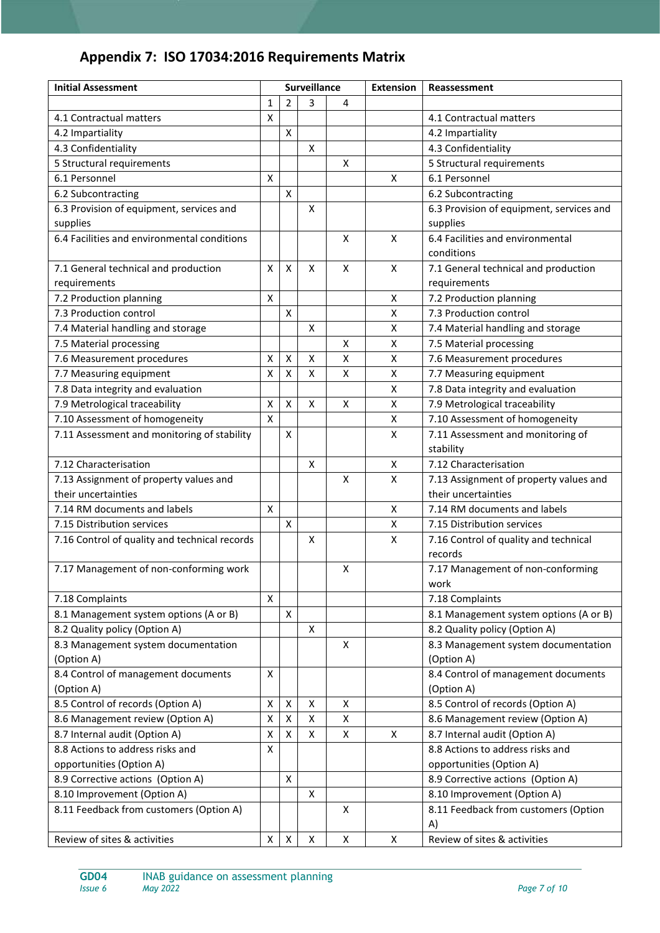# **Appendix 7: ISO 17034:2016 Requirements Matrix**

| <b>Initial Assessment</b>                     | Surveillance            |                    | <b>Extension</b>   | Reassessment       |              |                                          |
|-----------------------------------------------|-------------------------|--------------------|--------------------|--------------------|--------------|------------------------------------------|
|                                               | 1                       | $\overline{2}$     | 3                  | 4                  |              |                                          |
| 4.1 Contractual matters                       | $\overline{\mathsf{x}}$ |                    |                    |                    |              | 4.1 Contractual matters                  |
| 4.2 Impartiality                              |                         | $\pmb{\mathsf{X}}$ |                    |                    |              | 4.2 Impartiality                         |
| 4.3 Confidentiality                           |                         |                    | X                  |                    |              | 4.3 Confidentiality                      |
| 5 Structural requirements                     |                         |                    |                    | X                  |              | 5 Structural requirements                |
| 6.1 Personnel                                 | $\pmb{\mathsf{X}}$      |                    |                    |                    | X            | 6.1 Personnel                            |
| 6.2 Subcontracting                            |                         | $\mathsf{X}$       |                    |                    |              | 6.2 Subcontracting                       |
| 6.3 Provision of equipment, services and      |                         |                    | X                  |                    |              | 6.3 Provision of equipment, services and |
| supplies                                      |                         |                    |                    |                    |              | supplies                                 |
| 6.4 Facilities and environmental conditions   |                         |                    |                    | X                  | X            | 6.4 Facilities and environmental         |
|                                               |                         |                    |                    |                    |              | conditions                               |
| 7.1 General technical and production          | X                       | $\pmb{\mathsf{X}}$ | X                  | X                  | X            | 7.1 General technical and production     |
| requirements                                  |                         |                    |                    |                    |              | requirements                             |
| 7.2 Production planning                       | $\mathsf{X}$            |                    |                    |                    | Χ            | 7.2 Production planning                  |
| 7.3 Production control                        |                         | $\pmb{\mathsf{X}}$ |                    |                    | X            | 7.3 Production control                   |
| 7.4 Material handling and storage             |                         |                    | X                  |                    | Χ            | 7.4 Material handling and storage        |
| 7.5 Material processing                       |                         |                    |                    | X                  | Χ            | 7.5 Material processing                  |
| 7.6 Measurement procedures                    | Χ                       | $\pmb{\mathsf{X}}$ | X                  | $\pmb{\mathsf{X}}$ | $\mathsf{X}$ | 7.6 Measurement procedures               |
| 7.7 Measuring equipment                       | $\pmb{\mathsf{X}}$      | X                  | Χ                  | X                  | Χ            | 7.7 Measuring equipment                  |
| 7.8 Data integrity and evaluation             |                         |                    |                    |                    | Χ            | 7.8 Data integrity and evaluation        |
| 7.9 Metrological traceability                 | X                       | $\mathsf{X}$       | $\pmb{\times}$     | Χ                  | Χ            | 7.9 Metrological traceability            |
| 7.10 Assessment of homogeneity                | Χ                       |                    |                    |                    | Χ            | 7.10 Assessment of homogeneity           |
| 7.11 Assessment and monitoring of stability   |                         | $\pmb{\mathsf{X}}$ |                    |                    | X            | 7.11 Assessment and monitoring of        |
|                                               |                         |                    |                    |                    |              | stability                                |
| 7.12 Characterisation                         |                         |                    | X                  |                    | X            | 7.12 Characterisation                    |
| 7.13 Assignment of property values and        |                         |                    |                    | X                  | X            | 7.13 Assignment of property values and   |
| their uncertainties                           |                         |                    |                    |                    |              | their uncertainties                      |
| 7.14 RM documents and labels                  | $\pmb{\mathsf{X}}$      |                    |                    |                    | X            | 7.14 RM documents and labels             |
| 7.15 Distribution services                    |                         | $\pmb{\mathsf{X}}$ |                    |                    | X            | 7.15 Distribution services               |
| 7.16 Control of quality and technical records |                         |                    | X                  |                    | X            | 7.16 Control of quality and technical    |
|                                               |                         |                    |                    |                    |              | records                                  |
| 7.17 Management of non-conforming work        |                         |                    |                    | X                  |              | 7.17 Management of non-conforming        |
|                                               |                         |                    |                    |                    |              | work                                     |
| 7.18 Complaints                               | X                       |                    |                    |                    |              | 7.18 Complaints                          |
| 8.1 Management system options (A or B)        |                         | X                  |                    |                    |              | 8.1 Management system options (A or B)   |
| 8.2 Quality policy (Option A)                 |                         |                    | X                  |                    |              | 8.2 Quality policy (Option A)            |
| 8.3 Management system documentation           |                         |                    |                    | X                  |              | 8.3 Management system documentation      |
| (Option A)                                    |                         |                    |                    |                    |              | (Option A)                               |
| 8.4 Control of management documents           | X                       |                    |                    |                    |              | 8.4 Control of management documents      |
| (Option A)                                    |                         |                    |                    |                    |              | (Option A)                               |
| 8.5 Control of records (Option A)             | X                       | $\pmb{\mathsf{X}}$ | X                  | X                  |              | 8.5 Control of records (Option A)        |
| 8.6 Management review (Option A)              | Χ                       | X                  | $\pmb{\times}$     | X                  |              | 8.6 Management review (Option A)         |
| 8.7 Internal audit (Option A)                 | Χ                       | X                  | $\pmb{\times}$     | X                  | X            | 8.7 Internal audit (Option A)            |
| 8.8 Actions to address risks and              | $\mathsf{X}$            |                    |                    |                    |              | 8.8 Actions to address risks and         |
| opportunities (Option A)                      |                         |                    |                    |                    |              | opportunities (Option A)                 |
| 8.9 Corrective actions (Option A)             |                         | X                  |                    |                    |              | 8.9 Corrective actions (Option A)        |
| 8.10 Improvement (Option A)                   |                         |                    | $\mathsf{X}$       |                    |              | 8.10 Improvement (Option A)              |
| 8.11 Feedback from customers (Option A)       |                         |                    |                    | X                  |              | 8.11 Feedback from customers (Option     |
|                                               |                         |                    |                    |                    |              | A)                                       |
| Review of sites & activities                  | X                       | $\mathsf X$        | $\pmb{\mathsf{X}}$ | $\pmb{\mathsf{X}}$ | X            | Review of sites & activities             |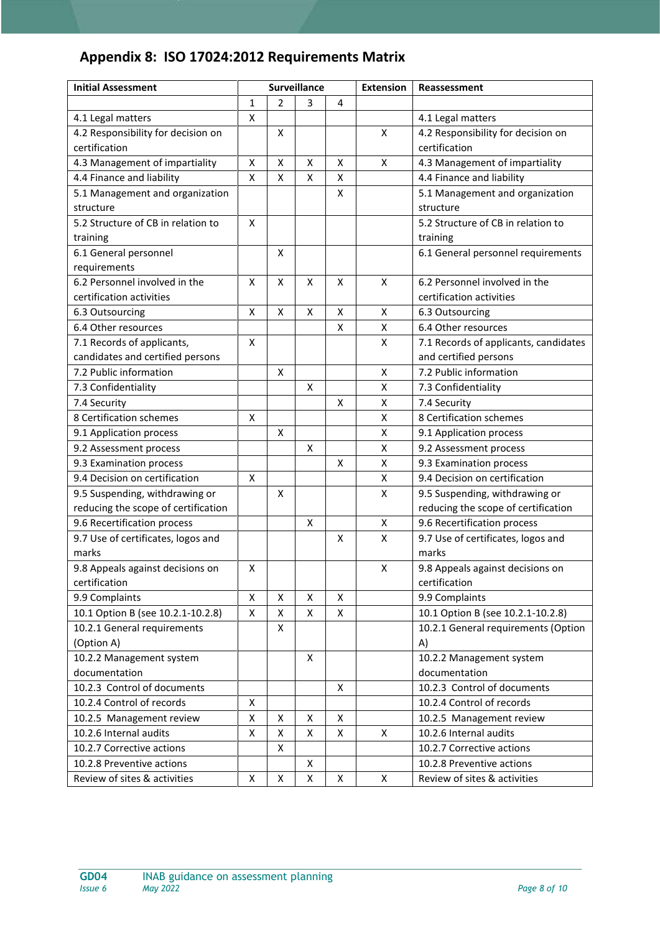## **Appendix 8: ISO 17024:2012 Requirements Matrix**

| <b>Initial Assessment</b>           | <b>Surveillance</b> |                    |   |   | <b>Extension</b> | Reassessment                          |
|-------------------------------------|---------------------|--------------------|---|---|------------------|---------------------------------------|
|                                     | 1                   | $\overline{2}$     | 3 | 4 |                  |                                       |
| 4.1 Legal matters                   | X                   |                    |   |   |                  | 4.1 Legal matters                     |
| 4.2 Responsibility for decision on  |                     | Χ                  |   |   | Χ                | 4.2 Responsibility for decision on    |
| certification                       |                     |                    |   |   |                  | certification                         |
| 4.3 Management of impartiality      | $\pmb{\mathsf{X}}$  | $\pmb{\mathsf{X}}$ | X | X | X                | 4.3 Management of impartiality        |
| 4.4 Finance and liability           | X                   | X                  | X | X |                  | 4.4 Finance and liability             |
| 5.1 Management and organization     |                     |                    |   | X |                  | 5.1 Management and organization       |
| structure                           |                     |                    |   |   |                  | structure                             |
| 5.2 Structure of CB in relation to  | X                   |                    |   |   |                  | 5.2 Structure of CB in relation to    |
| training                            |                     |                    |   |   |                  | training                              |
| 6.1 General personnel               |                     | Χ                  |   |   |                  | 6.1 General personnel requirements    |
| requirements                        |                     |                    |   |   |                  |                                       |
| 6.2 Personnel involved in the       | X                   | $\pmb{\mathsf{X}}$ | X | X | X                | 6.2 Personnel involved in the         |
| certification activities            |                     |                    |   |   |                  | certification activities              |
| 6.3 Outsourcing                     | $\pmb{\mathsf{X}}$  | Χ                  | X | X | X                | 6.3 Outsourcing                       |
| 6.4 Other resources                 |                     |                    |   | X | X                | 6.4 Other resources                   |
| 7.1 Records of applicants,          | $\pmb{\mathsf{X}}$  |                    |   |   | X                | 7.1 Records of applicants, candidates |
| candidates and certified persons    |                     |                    |   |   |                  | and certified persons                 |
| 7.2 Public information              |                     | Χ                  |   |   | Χ                | 7.2 Public information                |
| 7.3 Confidentiality                 |                     |                    | X |   | Χ                | 7.3 Confidentiality                   |
| 7.4 Security                        |                     |                    |   | X | X                | 7.4 Security                          |
| 8 Certification schemes             | X                   |                    |   |   | X                | 8 Certification schemes               |
| 9.1 Application process             |                     | X                  |   |   | x                | 9.1 Application process               |
| 9.2 Assessment process              |                     |                    | X |   | X                | 9.2 Assessment process                |
| 9.3 Examination process             |                     |                    |   | Χ | Χ                | 9.3 Examination process               |
| 9.4 Decision on certification       | X                   |                    |   |   | Χ                | 9.4 Decision on certification         |
| 9.5 Suspending, withdrawing or      |                     | х                  |   |   | X                | 9.5 Suspending, withdrawing or        |
| reducing the scope of certification |                     |                    |   |   |                  | reducing the scope of certification   |
| 9.6 Recertification process         |                     |                    | X |   | X                | 9.6 Recertification process           |
| 9.7 Use of certificates, logos and  |                     |                    |   | X | X                | 9.7 Use of certificates, logos and    |
| marks                               |                     |                    |   |   |                  | marks                                 |
| 9.8 Appeals against decisions on    | X                   |                    |   |   | X                | 9.8 Appeals against decisions on      |
| certification                       |                     |                    |   |   |                  | certification                         |
| 9.9 Complaints                      | Χ                   | Χ                  | х | Χ |                  | 9.9 Complaints                        |
| 10.1 Option B (see 10.2.1-10.2.8)   | $\pmb{\mathsf{X}}$  | Χ                  | Χ | X |                  | 10.1 Option B (see 10.2.1-10.2.8)     |
| 10.2.1 General requirements         |                     | Χ                  |   |   |                  | 10.2.1 General requirements (Option   |
| (Option A)                          |                     |                    |   |   |                  | A)                                    |
| 10.2.2 Management system            |                     |                    | X |   |                  | 10.2.2 Management system              |
| documentation                       |                     |                    |   |   |                  | documentation                         |
| 10.2.3 Control of documents         |                     |                    |   | X |                  | 10.2.3 Control of documents           |
| 10.2.4 Control of records           | $\pmb{\mathsf{X}}$  |                    |   |   |                  | 10.2.4 Control of records             |
| 10.2.5 Management review            | $\pmb{\mathsf{X}}$  | Χ                  | х | x |                  | 10.2.5 Management review              |
| 10.2.6 Internal audits              | X                   | X                  | Χ | X | X                | 10.2.6 Internal audits                |
| 10.2.7 Corrective actions           |                     | Χ                  |   |   |                  | 10.2.7 Corrective actions             |
| 10.2.8 Preventive actions           |                     |                    | X |   |                  | 10.2.8 Preventive actions             |
| Review of sites & activities        | Χ                   | $\pmb{\mathsf{X}}$ | X | X | Χ                | Review of sites & activities          |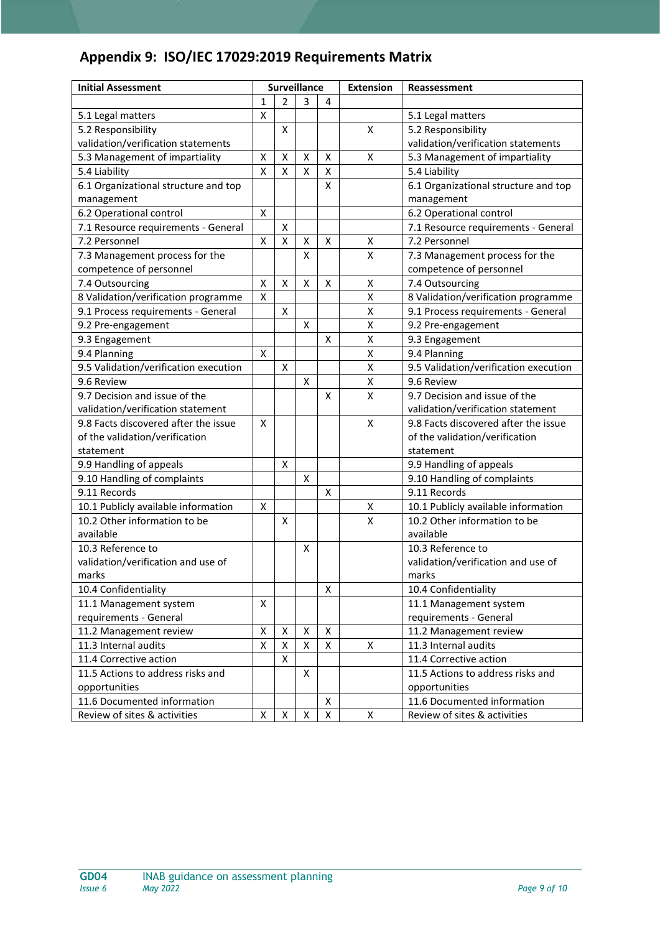## **Appendix 9: ISO/IEC 17029:2019 Requirements Matrix**

| <b>Initial Assessment</b>             |                    | <b>Surveillance</b> |                    | <b>Extension</b> | Reassessment       |                                       |
|---------------------------------------|--------------------|---------------------|--------------------|------------------|--------------------|---------------------------------------|
|                                       | $\mathbf{1}$       | $\overline{2}$      | $\overline{3}$     | 4                |                    |                                       |
| 5.1 Legal matters                     | $\mathsf{\chi}$    |                     |                    |                  |                    | 5.1 Legal matters                     |
| 5.2 Responsibility                    |                    | X                   |                    |                  | $\pmb{\mathsf{X}}$ | 5.2 Responsibility                    |
| validation/verification statements    |                    |                     |                    |                  |                    | validation/verification statements    |
| 5.3 Management of impartiality        | $\pmb{\mathsf{X}}$ | X                   | $\pmb{\mathsf{X}}$ | X                | $\pmb{\mathsf{X}}$ | 5.3 Management of impartiality        |
| 5.4 Liability                         | $\pmb{\mathsf{X}}$ | $\pmb{\mathsf{X}}$  | $\pmb{\mathsf{X}}$ | X                |                    | 5.4 Liability                         |
| 6.1 Organizational structure and top  |                    |                     |                    | Χ                |                    | 6.1 Organizational structure and top  |
| management                            |                    |                     |                    |                  |                    | management                            |
| 6.2 Operational control               | X                  |                     |                    |                  |                    | 6.2 Operational control               |
| 7.1 Resource requirements - General   |                    | $\pmb{\mathsf{X}}$  |                    |                  |                    | 7.1 Resource requirements - General   |
| 7.2 Personnel                         | $\pmb{\mathsf{X}}$ | $\pmb{\mathsf{X}}$  | X                  | Χ                | X                  | 7.2 Personnel                         |
| 7.3 Management process for the        |                    |                     | X                  |                  | X                  | 7.3 Management process for the        |
| competence of personnel               |                    |                     |                    |                  |                    | competence of personnel               |
| 7.4 Outsourcing                       | $\pmb{\mathsf{X}}$ | X                   | X                  | Χ                | X                  | 7.4 Outsourcing                       |
| 8 Validation/verification programme   | $\mathsf{\chi}$    |                     |                    |                  | $\pmb{\mathsf{X}}$ | 8 Validation/verification programme   |
| 9.1 Process requirements - General    |                    | X                   |                    |                  | Χ                  | 9.1 Process requirements - General    |
| 9.2 Pre-engagement                    |                    |                     | X                  |                  | X                  | 9.2 Pre-engagement                    |
| 9.3 Engagement                        |                    |                     |                    | х                | $\pmb{\mathsf{X}}$ | 9.3 Engagement                        |
| 9.4 Planning                          | X                  |                     |                    |                  | X                  | 9.4 Planning                          |
| 9.5 Validation/verification execution |                    | X                   |                    |                  | $\pmb{\mathsf{X}}$ | 9.5 Validation/verification execution |
| 9.6 Review                            |                    |                     | Χ                  |                  | X                  | 9.6 Review                            |
| 9.7 Decision and issue of the         |                    |                     |                    | Χ                | $\pmb{\mathsf{X}}$ | 9.7 Decision and issue of the         |
| validation/verification statement     |                    |                     |                    |                  |                    | validation/verification statement     |
| 9.8 Facts discovered after the issue  | X                  |                     |                    |                  | X                  | 9.8 Facts discovered after the issue  |
| of the validation/verification        |                    |                     |                    |                  |                    | of the validation/verification        |
| statement                             |                    |                     |                    |                  |                    | statement                             |
| 9.9 Handling of appeals               |                    | X                   |                    |                  |                    | 9.9 Handling of appeals               |
| 9.10 Handling of complaints           |                    |                     | X                  |                  |                    | 9.10 Handling of complaints           |
| 9.11 Records                          |                    |                     |                    | Χ                |                    | 9.11 Records                          |
| 10.1 Publicly available information   | X                  |                     |                    |                  | Χ                  | 10.1 Publicly available information   |
| 10.2 Other information to be          |                    | Χ                   |                    |                  | X                  | 10.2 Other information to be          |
| available                             |                    |                     |                    |                  |                    | available                             |
| 10.3 Reference to                     |                    |                     | X                  |                  |                    | 10.3 Reference to                     |
| validation/verification and use of    |                    |                     |                    |                  |                    | validation/verification and use of    |
| marks                                 |                    |                     |                    |                  |                    | marks                                 |
| 10.4 Confidentiality                  |                    |                     |                    | Χ                |                    | 10.4 Confidentiality                  |
| 11.1 Management system                | X                  |                     |                    |                  |                    | 11.1 Management system                |
| requirements - General                |                    |                     |                    |                  |                    | requirements - General                |
| 11.2 Management review                | Χ                  | Х                   | X                  | Χ                |                    | 11.2 Management review                |
| 11.3 Internal audits                  | X                  | X                   | X                  | Χ                | Х                  | 11.3 Internal audits                  |
| 11.4 Corrective action                |                    | X                   |                    |                  |                    | 11.4 Corrective action                |
| 11.5 Actions to address risks and     |                    |                     | X                  |                  |                    | 11.5 Actions to address risks and     |
| opportunities                         |                    |                     |                    |                  |                    | opportunities                         |
| 11.6 Documented information           |                    |                     |                    | Χ                |                    | 11.6 Documented information           |
| Review of sites & activities          | X                  | X                   | X                  | X                | X                  | Review of sites & activities          |